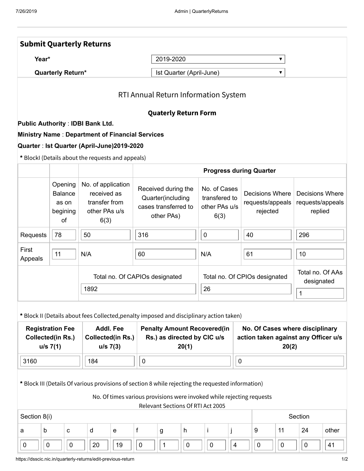|                   | <b>Submit Quarterly Returns</b>                             |                                                                             |                                                                                                                                                                                                                  |                                                        |                               |                                                        |                                                       |                  |  |
|-------------------|-------------------------------------------------------------|-----------------------------------------------------------------------------|------------------------------------------------------------------------------------------------------------------------------------------------------------------------------------------------------------------|--------------------------------------------------------|-------------------------------|--------------------------------------------------------|-------------------------------------------------------|------------------|--|
| Year*             |                                                             |                                                                             |                                                                                                                                                                                                                  | 2019-2020<br>$\blacktriangledown$                      |                               |                                                        |                                                       |                  |  |
|                   | <b>Quarterly Return*</b>                                    |                                                                             |                                                                                                                                                                                                                  | Ist Quarter (April-June)<br>▼                          |                               |                                                        |                                                       |                  |  |
|                   |                                                             |                                                                             | RTI Annual Return Information System                                                                                                                                                                             |                                                        |                               |                                                        |                                                       |                  |  |
|                   |                                                             | <b>Public Authority: IDBI Bank Ltd.</b>                                     | <b>Quaterly Return Form</b>                                                                                                                                                                                      |                                                        |                               |                                                        |                                                       |                  |  |
|                   |                                                             | <b>Ministry Name: Department of Financial Services</b>                      |                                                                                                                                                                                                                  |                                                        |                               |                                                        |                                                       |                  |  |
|                   |                                                             | Quarter : Ist Quarter (April-June)2019-2020                                 |                                                                                                                                                                                                                  |                                                        |                               |                                                        |                                                       |                  |  |
|                   |                                                             | * BlockI (Details about the requests and appeals)                           |                                                                                                                                                                                                                  |                                                        |                               |                                                        |                                                       |                  |  |
|                   |                                                             | <b>Progress during Quarter</b>                                              |                                                                                                                                                                                                                  |                                                        |                               |                                                        |                                                       |                  |  |
|                   | Opening<br><b>Balance</b><br>as on<br>begining<br><b>of</b> | No. of application<br>received as<br>transfer from<br>other PAs u/s<br>6(3) | Received during the<br>Quarter(including<br>cases transferred to<br>other PAs)                                                                                                                                   | No. of Cases<br>transfered to<br>other PAs u/s<br>6(3) |                               | <b>Decisions Where</b><br>requests/appeals<br>rejected | <b>Decisions Where</b><br>requests/appeals<br>replied |                  |  |
| Requests          | 78                                                          | 50                                                                          | 316                                                                                                                                                                                                              | $\boldsymbol{0}$                                       | 40                            |                                                        | 296                                                   |                  |  |
| First<br>Appeals  | 11                                                          | N/A                                                                         | 60                                                                                                                                                                                                               | N/A                                                    | 61                            |                                                        | 10                                                    |                  |  |
|                   |                                                             | Total no. Of CAPIOs designated                                              |                                                                                                                                                                                                                  |                                                        | Total no. Of CPIOs designated |                                                        |                                                       | Total no. Of AAs |  |
|                   |                                                             | 1892                                                                        | 26                                                                                                                                                                                                               |                                                        |                               | designated<br>1                                        |                                                       |                  |  |
|                   | <b>Registration Fee</b>                                     | <b>Addl. Fee</b>                                                            | * Block II (Details about fees Collected, penalty imposed and disciplinary action taken)<br><b>Penalty Amount Recovered(in</b>                                                                                   |                                                        |                               | No. Of Cases where disciplinary                        | action taken against any Officer u/s                  |                  |  |
|                   | <b>Collected(in Rs.)</b>                                    | <b>Collected(in Rs.)</b>                                                    | Rs.) as directed by CIC u/s                                                                                                                                                                                      |                                                        |                               |                                                        |                                                       |                  |  |
|                   | $u/s$ 7(1)                                                  | u/s 7(3)                                                                    | 20(1)                                                                                                                                                                                                            |                                                        |                               | 20(2)                                                  |                                                       |                  |  |
| 3160              |                                                             | 184                                                                         | $\pmb{0}$                                                                                                                                                                                                        |                                                        | $\pmb{0}$                     |                                                        |                                                       |                  |  |
|                   |                                                             |                                                                             | * Block III (Details Of various provisions of section 8 while rejecting the requested information)<br>No. Of times various provisions were invoked while rejecting requests<br>Relevant Sections Of RTI Act 2005 |                                                        |                               |                                                        |                                                       |                  |  |
|                   |                                                             |                                                                             |                                                                                                                                                                                                                  |                                                        |                               |                                                        | Section                                               |                  |  |
| Section 8(i)<br>a | b<br>C                                                      | d<br>e                                                                      | f<br>h<br>g                                                                                                                                                                                                      | Ť                                                      |                               | 9<br>11                                                | 24                                                    | other            |  |